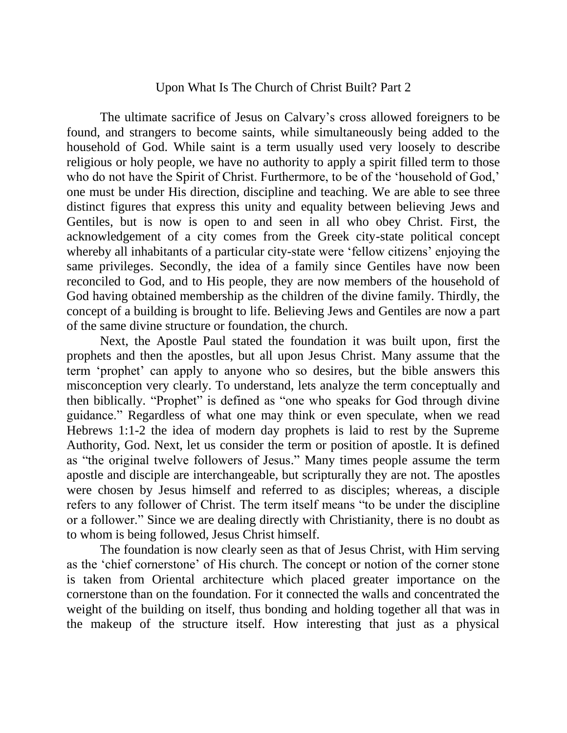## Upon What Is The Church of Christ Built? Part 2

The ultimate sacrifice of Jesus on Calvary's cross allowed foreigners to be found, and strangers to become saints, while simultaneously being added to the household of God. While saint is a term usually used very loosely to describe religious or holy people, we have no authority to apply a spirit filled term to those who do not have the Spirit of Christ. Furthermore, to be of the 'household of God,' one must be under His direction, discipline and teaching. We are able to see three distinct figures that express this unity and equality between believing Jews and Gentiles, but is now is open to and seen in all who obey Christ. First, the acknowledgement of a city comes from the Greek city-state political concept whereby all inhabitants of a particular city-state were 'fellow citizens' enjoying the same privileges. Secondly, the idea of a family since Gentiles have now been reconciled to God, and to His people, they are now members of the household of God having obtained membership as the children of the divine family. Thirdly, the concept of a building is brought to life. Believing Jews and Gentiles are now a part of the same divine structure or foundation, the church.

Next, the Apostle Paul stated the foundation it was built upon, first the prophets and then the apostles, but all upon Jesus Christ. Many assume that the term 'prophet' can apply to anyone who so desires, but the bible answers this misconception very clearly. To understand, lets analyze the term conceptually and then biblically. "Prophet" is defined as "one who speaks for God through divine guidance." Regardless of what one may think or even speculate, when we read Hebrews 1:1-2 the idea of modern day prophets is laid to rest by the Supreme Authority, God. Next, let us consider the term or position of apostle. It is defined as "the original twelve followers of Jesus." Many times people assume the term apostle and disciple are interchangeable, but scripturally they are not. The apostles were chosen by Jesus himself and referred to as disciples; whereas, a disciple refers to any follower of Christ. The term itself means "to be under the discipline or a follower." Since we are dealing directly with Christianity, there is no doubt as to whom is being followed, Jesus Christ himself.

The foundation is now clearly seen as that of Jesus Christ, with Him serving as the 'chief cornerstone' of His church. The concept or notion of the corner stone is taken from Oriental architecture which placed greater importance on the cornerstone than on the foundation. For it connected the walls and concentrated the weight of the building on itself, thus bonding and holding together all that was in the makeup of the structure itself. How interesting that just as a physical